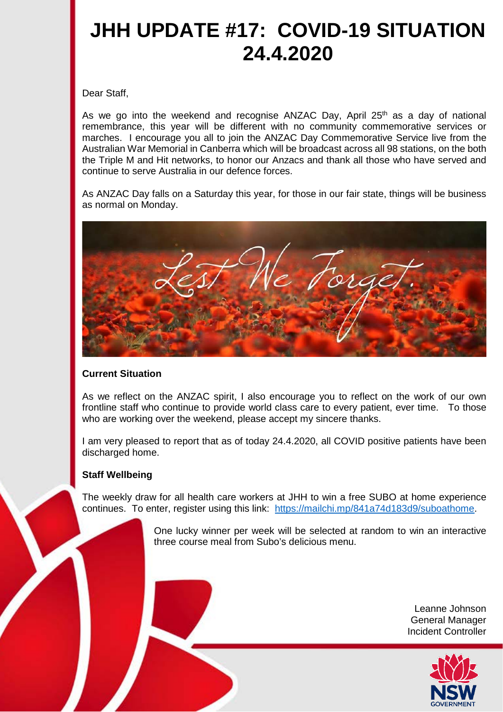## **JHH UPDATE #17: COVID-19 SITUATION 24.4.2020**

Dear Staff,

As we go into the weekend and recognise ANZAC Day, April  $25<sup>th</sup>$  as a day of national remembrance, this year will be different with no community commemorative services or marches. I encourage you all to join the ANZAC Day Commemorative Service live from the Australian War Memorial in Canberra which will be broadcast across all 98 stations, on the both the Triple M and Hit networks, to honor our Anzacs and thank all those who have served and continue to serve Australia in our defence forces.

As ANZAC Day falls on a Saturday this year, for those in our fair state, things will be business as normal on Monday.



## **Current Situation**

As we reflect on the ANZAC spirit, I also encourage you to reflect on the work of our own frontline staff who continue to provide world class care to every patient, ever time. To those who are working over the weekend, please accept my sincere thanks.

I am very pleased to report that as of today 24.4.2020, all COVID positive patients have been discharged home.

## **Staff Wellbeing**

The weekly draw for all health care workers at JHH to win a free SUBO at home experience continues. To enter, register using this link: [https://mailchi.mp/841a74d183d9/suboathome.](https://mailchi.mp/841a74d183d9/suboathome)

> One lucky winner per week will be selected at random to win an interactive three course meal from Subo's delicious menu.

> > Leanne Johnson General Manager Incident Controller

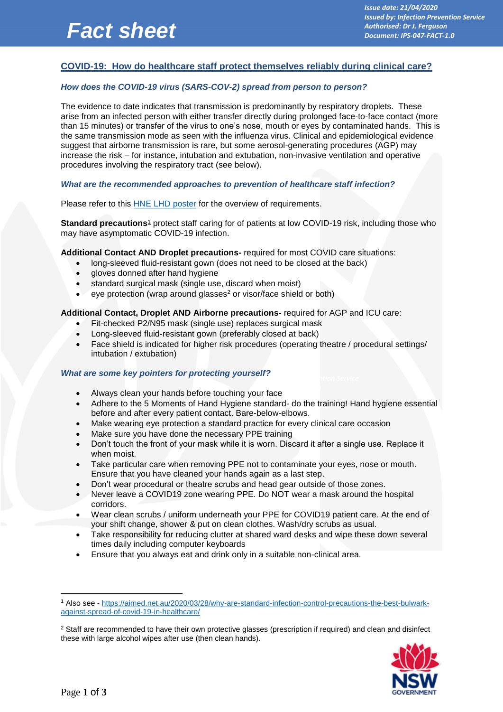# *Fact sheet*

*Issue date: 21/04/2020 Issued by: Infection Prevention Service Authorised: Dr J. Ferguson Document: IPS-047-FACT-1.0*

## **COVID-19: How do healthcare staff protect themselves reliably during clinical care?**

## *How does the COVID-19 virus (SARS-COV-2) spread from person to person?*

The evidence to date indicates that transmission is predominantly by respiratory droplets. These arise from an infected person with either transfer directly during prolonged face-to-face contact (more than 15 minutes) or transfer of the virus to one's nose, mouth or eyes by contaminated hands. This is the same transmission mode as seen with the influenza virus. Clinical and epidemiological evidence suggest that airborne transmission is rare, but some aerosol-generating procedures (AGP) may increase the risk – for instance, intubation and extubation, non-invasive ventilation and operative procedures involving the respiratory tract (see below).

## *What are the recommended approaches to prevention of healthcare staff infection?*

Please refer to this [HNE LHD poster](http://intranet.hne.health.nsw.gov.au/__data/assets/pdf_file/0016/214036/PPE_for_patient_care_during_COVID-19_pandemic_v2.0_final.pdf) for the overview of requirements.

**Standard precautions**<sup>1</sup> protect staff caring for of patients at low COVID-19 risk, including those who may have asymptomatic COVID-19 infection.

#### **Additional Contact AND Droplet precautions-** required for most COVID care situations:

- long-sleeved fluid-resistant gown (does not need to be closed at the back)
- gloves donned after hand hygiene
- standard surgical mask (single use, discard when moist)
- eye protection (wrap around glasses<sup>2</sup> or visor/face shield or both)

#### **Additional Contact, Droplet AND Airborne precautions-** required for AGP and ICU care:

- Fit-checked P2/N95 mask (single use) replaces surgical mask
- Long-sleeved fluid-resistant gown (preferably closed at back)
- Face shield is indicated for higher risk procedures (operating theatre / procedural settings/ intubation / extubation)

#### *<i>What are some key pointers for protecting yourself? Island By: Infection Service*

- *Authorised: Dr J. Ferguson*  **Always clean your hands before touching your face**
- Adhere to the 5 Moments of Hand Hygiene standard- do the training! Hand hygiene essential before and after every patient contact. Bare-below-elbows.
- Make wearing eye protection a standard practice for every clinical care occasion
- Make sure you have done the necessary PPE training
- Don't touch the front of your mask while it is worn. Discard it after a single use. Replace it when moist.
- Take particular care when removing PPE not to contaminate your eyes, nose or mouth. Ensure that you have cleaned your hands again as a last step.
- Don't wear procedural or theatre scrubs and head gear outside of those zones.
- Never leave a COVID19 zone wearing PPE. Do NOT wear a mask around the hospital corridors.
- Wear clean scrubs / uniform underneath your PPE for COVID19 patient care. At the end of your shift change, shower & put on clean clothes. Wash/dry scrubs as usual.
- Take responsibility for reducing clutter at shared ward desks and wipe these down several times daily including computer keyboards
- Ensure that you always eat and drink only in a suitable non-clinical area.

<sup>&</sup>lt;sup>2</sup> Staff are recommended to have their own protective glasses (prescription if required) and clean and disinfect these with large alcohol wipes after use (then clean hands).



1

<sup>1</sup> Also see - [https://aimed.net.au/2020/03/28/why-are-standard-infection-control-precautions-the-best-bulwark](https://aimed.net.au/2020/03/28/why-are-standard-infection-control-precautions-the-best-bulwark-against-spread-of-covid-19-in-healthcare/)[against-spread-of-covid-19-in-healthcare/](https://aimed.net.au/2020/03/28/why-are-standard-infection-control-precautions-the-best-bulwark-against-spread-of-covid-19-in-healthcare/)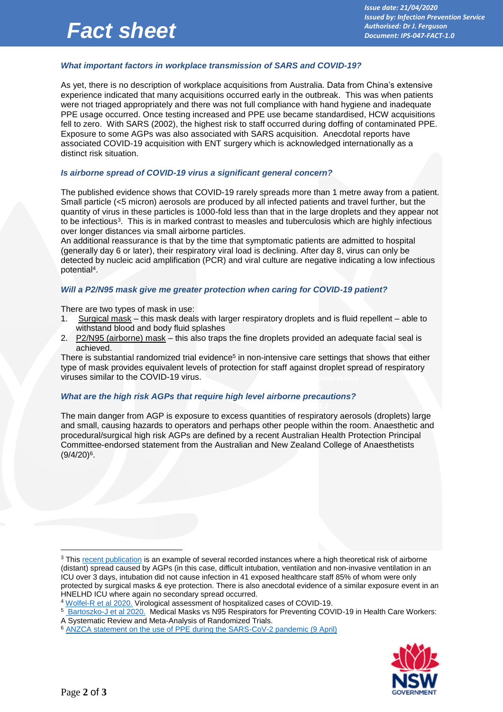# *Fact sheet*

## *What important factors in workplace transmission of SARS and COVID-19?*

As yet, there is no description of workplace acquisitions from Australia. Data from China's extensive experience indicated that many acquisitions occurred early in the outbreak. This was when patients were not triaged appropriately and there was not full compliance with hand hygiene and inadequate PPE usage occurred. Once testing increased and PPE use became standardised, HCW acquisitions fell to zero. With SARS (2002), the highest risk to staff occurred during doffing of contaminated PPE. Exposure to some AGPs was also associated with SARS acquisition. Anecdotal reports have associated COVID-19 acquisition with ENT surgery which is acknowledged internationally as a distinct risk situation.

## *Is airborne spread of COVID-19 virus a significant general concern?*

The published evidence shows that COVID-19 rarely spreads more than 1 metre away from a patient. Small particle (<5 micron) aerosols are produced by all infected patients and travel further, but the quantity of virus in these particles is 1000-fold less than that in the large droplets and they appear not to be infectious<sup>3</sup>. This is in marked contrast to measles and tuberculosis which are highly infectious over longer distances via small airborne particles.

An additional reassurance is that by the time that symptomatic patients are admitted to hospital (generally day 6 or later), their respiratory viral load is declining. After day 8, virus can only be detected by nucleic acid amplification (PCR) and viral culture are negative indicating a low infectious potential<sup>4</sup> .

## *Will a P2/N95 mask give me greater protection when caring for COVID-19 patient?*

There are two types of mask in use:

- 1. Surgical mask this mask deals with larger respiratory droplets and is fluid repellent able to withstand blood and body fluid splashes
- 2. P2/N95 (airborne) mask this also traps the fine droplets provided an adequate facial seal is achieved.

*Issue date: 13/02/2020* type of mask provides equivalent levels of protection for staff against droplet spread of respiratory There is substantial randomized trial evidence<sup>5</sup> in non-intensive care settings that shows that either viruses similar to the COVID-19 virus.

## *What are the high risk AGPs that require high level airborne precautions?*

The main danger from AGP is exposure to excess quantities of respiratory aerosols (droplets) large and small, causing hazards to operators and perhaps other people within the room. Anaesthetic and procedural/surgical high risk AGPs are defined by a recent Australian Health Protection Principal Committee-endorsed statement from the Australian and New Zealand College of Anaesthetists  $(9/4/20)^6$ .



<u>.</u>

<sup>&</sup>lt;sup>3</sup> This [recent publication](https://www.ncbi.nlm.nih.gov/pmc/articles/PMC7081171/) is an example of several recorded instances where a high theoretical risk of airborne (distant) spread caused by AGPs (in this case, difficult intubation, ventilation and non-invasive ventilation in an ICU over 3 days, intubation did not cause infection in 41 exposed healthcare staff 85% of whom were only protected by surgical masks & eye protection. There is also anecdotal evidence of a similar exposure event in an HNELHD ICU where again no secondary spread occurred.

<sup>&</sup>lt;sup>4</sup> [Wolfel-R et al 2020.](https://www.nature.com/articles/s41586-020-2196-x) Virological assessment of hospitalized cases of COVID-19.

<sup>5</sup> [Bartoszko-J et al 2020.](https://onlinelibrary.wiley.com/doi/abs/10.1111/irv.12745) Medical Masks vs N95 Respirators for Preventing COVID-19 in Health Care Workers: A Systematic Review and Meta-Analysis of Randomized Trials.

<sup>6</sup> [ANZCA statement on the use of PPE during the SARS-CoV-2 pandemic \(9 April\)](http://www.anzca.edu.au/front-page-news/covid-19-impact-on-anzca)